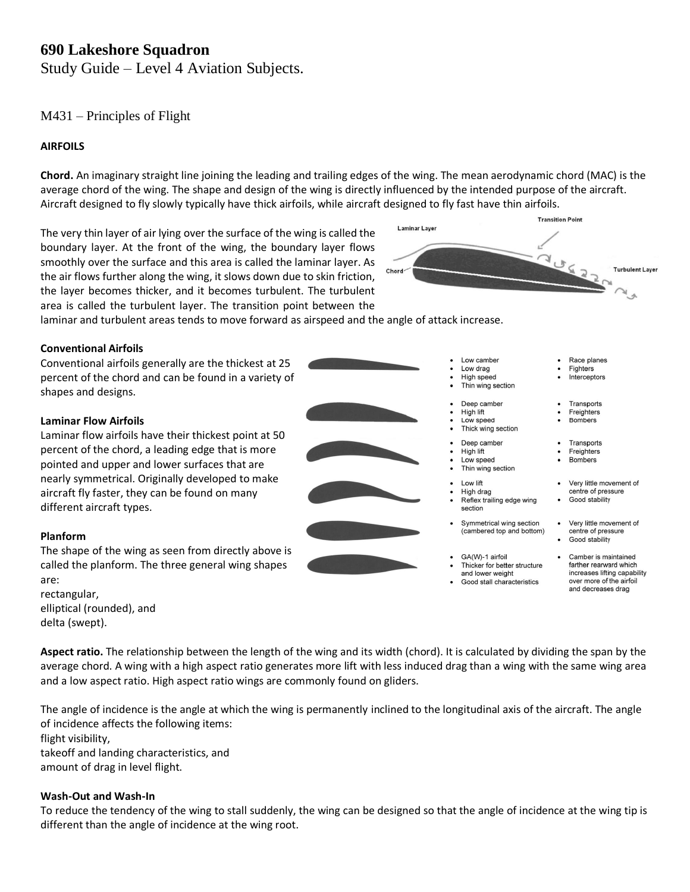# **690 Lakeshore Squadron**

Study Guide – Level 4 Aviation Subjects.

# M431 – Principles of Flight

# **AIRFOILS**

**Chord.** An imaginary straight line joining the leading and trailing edges of the wing. The mean aerodynamic chord (MAC) is the average chord of the wing. The shape and design of the wing is directly influenced by the intended purpose of the aircraft. Aircraft designed to fly slowly typically have thick airfoils, while aircraft designed to fly fast have thin airfoils.

The very thin layer of air lying over the surface of the wing is called the boundary layer. At the front of the wing, the boundary layer flows smoothly over the surface and this area is called the laminar layer. As the air flows further along the wing, it slows down due to skin friction, the layer becomes thicker, and it becomes turbulent. The turbulent area is called the turbulent layer. The transition point between the



Low camber

High speed

Thin wing section Deep camber

Low drag

High lift

High lift

Low speed

High drag

GA(W)-1 airfoil

section

Thin wing section Low lift

Reflex trailing edge wing

Symmetrical wing section

(cambered top and bottom)

Thicker for better structure and lower weight

Good stall characteristics

Low speed Thick wing section Deep camber

 $\bullet$ 

Race planes

Interceptors

Transports

Freighters **Bombers** 

Transports

Freighters

• Very little movement of

centre of pressure Good stability

• Very little movement of

Camber is maintained farther rearward which

increases lifting capability

over more of the airfoil and decreases drag

centre of pressure Good stability

**Bombers** 

Fighters

 $\bullet$ 

laminar and turbulent areas tends to move forward as airspeed and the angle of attack increase.

## **Conventional Airfoils**

Conventional airfoils generally are the thickest at 25 percent of the chord and can be found in a variety of shapes and designs.

## **Laminar Flow Airfoils**

Laminar flow airfoils have their thickest point at 50 percent of the chord, a leading edge that is more pointed and upper and lower surfaces that are nearly symmetrical. Originally developed to make aircraft fly faster, they can be found on many different aircraft types.

## **Planform**

The shape of the wing as seen from directly above is called the planform. The three general wing shapes are: rectangular,

elliptical (rounded), and delta (swept).

**Aspect ratio.** The relationship between the length of the wing and its width (chord). It is calculated by dividing the span by the average chord. A wing with a high aspect ratio generates more lift with less induced drag than a wing with the same wing area and a low aspect ratio. High aspect ratio wings are commonly found on gliders.

The angle of incidence is the angle at which the wing is permanently inclined to the longitudinal axis of the aircraft. The angle of incidence affects the following items: flight visibility, takeoff and landing characteristics, and amount of drag in level flight.

## **Wash-Out and Wash-In**

To reduce the tendency of the wing to stall suddenly, the wing can be designed so that the angle of incidence at the wing tip is different than the angle of incidence at the wing root.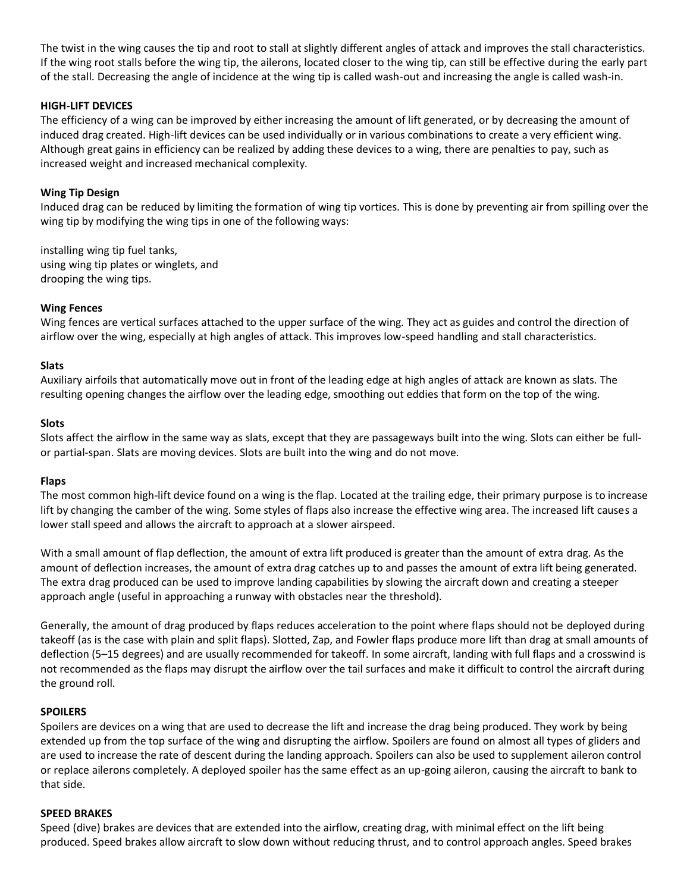The twist in the wing causes the tip and root to stall at slightly different angles of attack and improves the stall characteristics. If the wing root stalls before the wing tip, the ailerons, located closer to the wing tip, can still be effective during the early part of the stall. Decreasing the angle of incidence at the wing tip is called wash-out and increasing the angle is called wash-in.

# **HIGH-LIFT DEVICES**

The efficiency of a wing can be improved by either increasing the amount of lift generated, or by decreasing the amount of induced drag created. High-lift devices can be used individually or in various combinations to create a very efficient wing. Although great gains in efficiency can be realized by adding these devices to a wing, there are penalties to pay, such as increased weight and increased mechanical complexity.

# **Wing Tip Design**

Induced drag can be reduced by limiting the formation of wing tip vortices. This is done by preventing air from spilling over the wing tip by modifying the wing tips in one of the following ways:

installing wing tip fuel tanks, using wing tip plates or winglets, and drooping the wing tips.

## **Wing Fences**

Wing fences are vertical surfaces attached to the upper surface of the wing. They act as guides and control the direction of airflow over the wing, especially at high angles of attack. This improves low-speed handling and stall characteristics.

## **Slats**

Auxiliary airfoils that automatically move out in front of the leading edge at high angles of attack are known as slats. The resulting opening changes the airflow over the leading edge, smoothing out eddies that form on the top of the wing.

## **Slots**

Slots affect the airflow in the same way as slats, except that they are passageways built into the wing. Slots can either be fullor partial-span. Slats are moving devices. Slots are built into the wing and do not move.

## **Flaps**

The most common high-lift device found on a wing is the flap. Located at the trailing edge, their primary purpose is to increase lift by changing the camber of the wing. Some styles of flaps also increase the effective wing area. The increased lift causes a lower stall speed and allows the aircraft to approach at a slower airspeed.

With a small amount of flap deflection, the amount of extra lift produced is greater than the amount of extra drag. As the amount of deflection increases, the amount of extra drag catches up to and passes the amount of extra lift being generated. The extra drag produced can be used to improve landing capabilities by slowing the aircraft down and creating a steeper approach angle (useful in approaching a runway with obstacles near the threshold).

Generally, the amount of drag produced by flaps reduces acceleration to the point where flaps should not be deployed during takeoff (as is the case with plain and split flaps). Slotted, Zap, and Fowler flaps produce more lift than drag at small amounts of deflection (5–15 degrees) and are usually recommended for takeoff. In some aircraft, landing with full flaps and a crosswind is not recommended as the flaps may disrupt the airflow over the tail surfaces and make it difficult to control the aircraft during the ground roll.

## **SPOILERS**

Spoilers are devices on a wing that are used to decrease the lift and increase the drag being produced. They work by being extended up from the top surface of the wing and disrupting the airflow. Spoilers are found on almost all types of gliders and are used to increase the rate of descent during the landing approach. Spoilers can also be used to supplement aileron control or replace ailerons completely. A deployed spoiler has the same effect as an up-going aileron, causing the aircraft to bank to that side.

## **SPEED BRAKES**

Speed (dive) brakes are devices that are extended into the airflow, creating drag, with minimal effect on the lift being produced. Speed brakes allow aircraft to slow down without reducing thrust, and to control approach angles. Speed brakes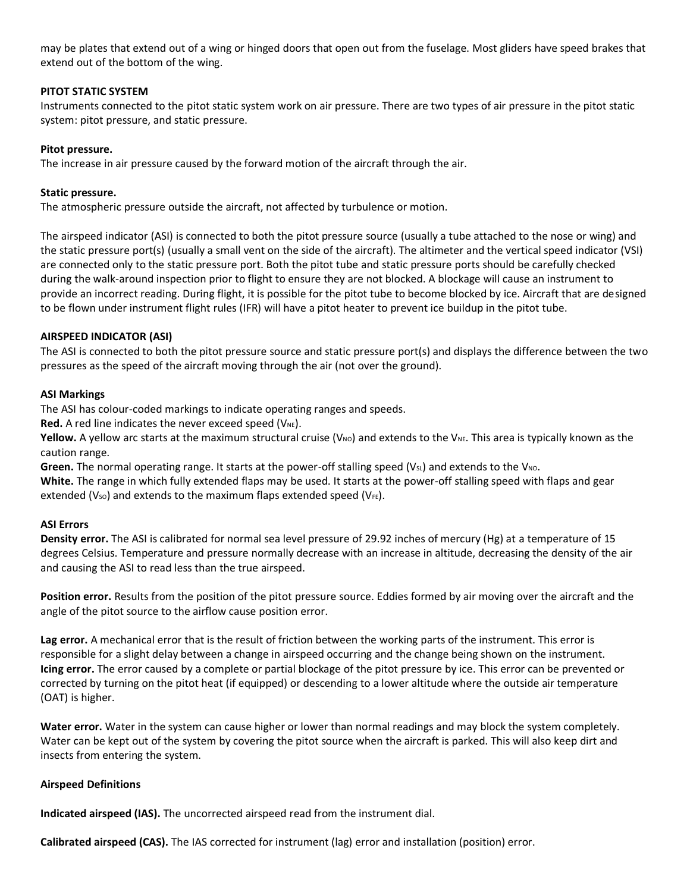may be plates that extend out of a wing or hinged doors that open out from the fuselage. Most gliders have speed brakes that extend out of the bottom of the wing.

# **PITOT STATIC SYSTEM**

Instruments connected to the pitot static system work on air pressure. There are two types of air pressure in the pitot static system: pitot pressure, and static pressure.

# **Pitot pressure.**

The increase in air pressure caused by the forward motion of the aircraft through the air.

# **Static pressure.**

The atmospheric pressure outside the aircraft, not affected by turbulence or motion.

The airspeed indicator (ASI) is connected to both the pitot pressure source (usually a tube attached to the nose or wing) and the static pressure port(s) (usually a small vent on the side of the aircraft). The altimeter and the vertical speed indicator (VSI) are connected only to the static pressure port. Both the pitot tube and static pressure ports should be carefully checked during the walk-around inspection prior to flight to ensure they are not blocked. A blockage will cause an instrument to provide an incorrect reading. During flight, it is possible for the pitot tube to become blocked by ice. Aircraft that are designed to be flown under instrument flight rules (IFR) will have a pitot heater to prevent ice buildup in the pitot tube.

# **AIRSPEED INDICATOR (ASI)**

The ASI is connected to both the pitot pressure source and static pressure port(s) and displays the difference between the two pressures as the speed of the aircraft moving through the air (not over the ground).

## **ASI Markings**

The ASI has colour-coded markings to indicate operating ranges and speeds.

**Red.** A red line indicates the never exceed speed (V<sub>NE</sub>).

**Yellow.** A yellow arc starts at the maximum structural cruise (V<sub>NO</sub>) and extends to the V<sub>NE</sub>. This area is typically known as the caution range.

**Green.** The normal operating range. It starts at the power-off stalling speed ( $V_{S<sub>L</sub>}$ ) and extends to the  $V_{NO}$ .

**White.** The range in which fully extended flaps may be used. It starts at the power-off stalling speed with flaps and gear extended (Vso) and extends to the maximum flaps extended speed (V $_{FE}$ ).

## **ASI Errors**

**Density error.** The ASI is calibrated for normal sea level pressure of 29.92 inches of mercury (Hg) at a temperature of 15 degrees Celsius. Temperature and pressure normally decrease with an increase in altitude, decreasing the density of the air and causing the ASI to read less than the true airspeed.

**Position error.** Results from the position of the pitot pressure source. Eddies formed by air moving over the aircraft and the angle of the pitot source to the airflow cause position error.

**Lag error.** A mechanical error that is the result of friction between the working parts of the instrument. This error is responsible for a slight delay between a change in airspeed occurring and the change being shown on the instrument. **Icing error.** The error caused by a complete or partial blockage of the pitot pressure by ice. This error can be prevented or corrected by turning on the pitot heat (if equipped) or descending to a lower altitude where the outside air temperature (OAT) is higher.

**Water error.** Water in the system can cause higher or lower than normal readings and may block the system completely. Water can be kept out of the system by covering the pitot source when the aircraft is parked. This will also keep dirt and insects from entering the system.

# **Airspeed Definitions**

**Indicated airspeed (IAS).** The uncorrected airspeed read from the instrument dial.

**Calibrated airspeed (CAS).** The IAS corrected for instrument (lag) error and installation (position) error.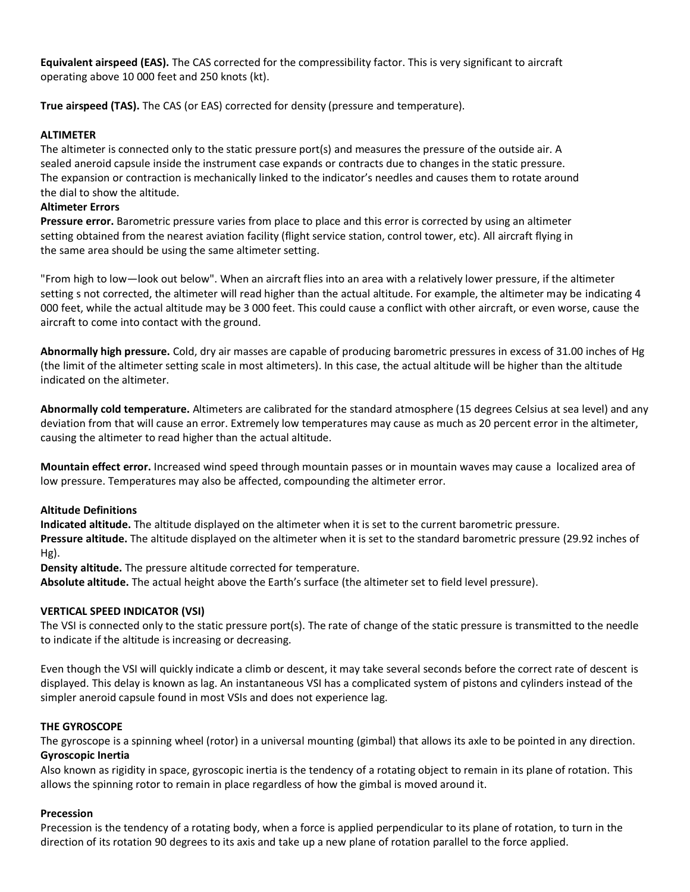**Equivalent airspeed (EAS).** The CAS corrected for the compressibility factor. This is very significant to aircraft operating above 10 000 feet and 250 knots (kt).

**True airspeed (TAS).** The CAS (or EAS) corrected for density (pressure and temperature).

# **ALTIMETER**

The altimeter is connected only to the static pressure port(s) and measures the pressure of the outside air. A sealed aneroid capsule inside the instrument case expands or contracts due to changes in the static pressure. The expansion or contraction is mechanically linked to the indicator's needles and causes them to rotate around the dial to show the altitude.

# **Altimeter Errors**

**Pressure error.** Barometric pressure varies from place to place and this error is corrected by using an altimeter setting obtained from the nearest aviation facility (flight service station, control tower, etc). All aircraft flying in the same area should be using the same altimeter setting.

"From high to low—look out below". When an aircraft flies into an area with a relatively lower pressure, if the altimeter setting s not corrected, the altimeter will read higher than the actual altitude. For example, the altimeter may be indicating 4 000 feet, while the actual altitude may be 3 000 feet. This could cause a conflict with other aircraft, or even worse, cause the aircraft to come into contact with the ground.

**Abnormally high pressure.** Cold, dry air masses are capable of producing barometric pressures in excess of 31.00 inches of Hg (the limit of the altimeter setting scale in most altimeters). In this case, the actual altitude will be higher than the altitude indicated on the altimeter.

**Abnormally cold temperature.** Altimeters are calibrated for the standard atmosphere (15 degrees Celsius at sea level) and any deviation from that will cause an error. Extremely low temperatures may cause as much as 20 percent error in the altimeter, causing the altimeter to read higher than the actual altitude.

**Mountain effect error.** Increased wind speed through mountain passes or in mountain waves may cause a localized area of low pressure. Temperatures may also be affected, compounding the altimeter error.

# **Altitude Definitions**

**Indicated altitude.** The altitude displayed on the altimeter when it is set to the current barometric pressure. **Pressure altitude.** The altitude displayed on the altimeter when it is set to the standard barometric pressure (29.92 inches of Hg).

**Density altitude.** The pressure altitude corrected for temperature.

**Absolute altitude.** The actual height above the Earth's surface (the altimeter set to field level pressure).

# **VERTICAL SPEED INDICATOR (VSI)**

The VSI is connected only to the static pressure port(s). The rate of change of the static pressure is transmitted to the needle to indicate if the altitude is increasing or decreasing.

Even though the VSI will quickly indicate a climb or descent, it may take several seconds before the correct rate of descent is displayed. This delay is known as lag. An instantaneous VSI has a complicated system of pistons and cylinders instead of the simpler aneroid capsule found in most VSIs and does not experience lag.

# **THE GYROSCOPE**

The gyroscope is a spinning wheel (rotor) in a universal mounting (gimbal) that allows its axle to be pointed in any direction. **Gyroscopic Inertia**

Also known as rigidity in space, gyroscopic inertia is the tendency of a rotating object to remain in its plane of rotation. This allows the spinning rotor to remain in place regardless of how the gimbal is moved around it.

# **Precession**

Precession is the tendency of a rotating body, when a force is applied perpendicular to its plane of rotation, to turn in the direction of its rotation 90 degrees to its axis and take up a new plane of rotation parallel to the force applied.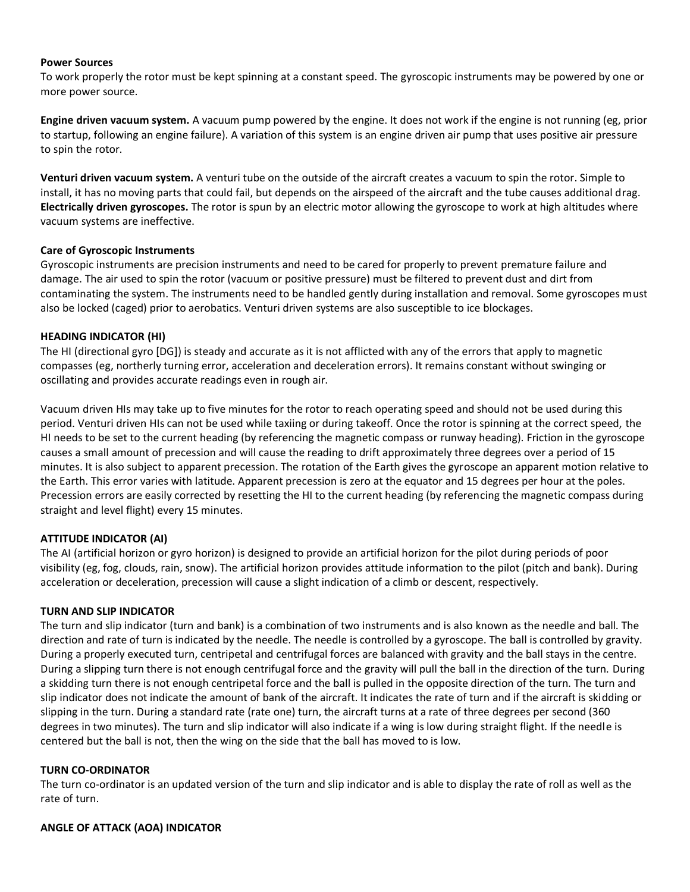## **Power Sources**

To work properly the rotor must be kept spinning at a constant speed. The gyroscopic instruments may be powered by one or more power source.

**Engine driven vacuum system.** A vacuum pump powered by the engine. It does not work if the engine is not running (eg, prior to startup, following an engine failure). A variation of this system is an engine driven air pump that uses positive air pressure to spin the rotor.

**Venturi driven vacuum system.** A venturi tube on the outside of the aircraft creates a vacuum to spin the rotor. Simple to install, it has no moving parts that could fail, but depends on the airspeed of the aircraft and the tube causes additional drag. **Electrically driven gyroscopes.** The rotor is spun by an electric motor allowing the gyroscope to work at high altitudes where vacuum systems are ineffective.

# **Care of Gyroscopic Instruments**

Gyroscopic instruments are precision instruments and need to be cared for properly to prevent premature failure and damage. The air used to spin the rotor (vacuum or positive pressure) must be filtered to prevent dust and dirt from contaminating the system. The instruments need to be handled gently during installation and removal. Some gyroscopes must also be locked (caged) prior to aerobatics. Venturi driven systems are also susceptible to ice blockages.

# **HEADING INDICATOR (HI)**

The HI (directional gyro [DG]) is steady and accurate as it is not afflicted with any of the errors that apply to magnetic compasses (eg, northerly turning error, acceleration and deceleration errors). It remains constant without swinging or oscillating and provides accurate readings even in rough air.

Vacuum driven HIs may take up to five minutes for the rotor to reach operating speed and should not be used during this period. Venturi driven HIs can not be used while taxiing or during takeoff. Once the rotor is spinning at the correct speed, the HI needs to be set to the current heading (by referencing the magnetic compass or runway heading). Friction in the gyroscope causes a small amount of precession and will cause the reading to drift approximately three degrees over a period of 15 minutes. It is also subject to apparent precession. The rotation of the Earth gives the gyroscope an apparent motion relative to the Earth. This error varies with latitude. Apparent precession is zero at the equator and 15 degrees per hour at the poles. Precession errors are easily corrected by resetting the HI to the current heading (by referencing the magnetic compass during straight and level flight) every 15 minutes.

# **ATTITUDE INDICATOR (AI)**

The AI (artificial horizon or gyro horizon) is designed to provide an artificial horizon for the pilot during periods of poor visibility (eg, fog, clouds, rain, snow). The artificial horizon provides attitude information to the pilot (pitch and bank). During acceleration or deceleration, precession will cause a slight indication of a climb or descent, respectively.

# **TURN AND SLIP INDICATOR**

The turn and slip indicator (turn and bank) is a combination of two instruments and is also known as the needle and ball. The direction and rate of turn is indicated by the needle. The needle is controlled by a gyroscope. The ball is controlled by gravity. During a properly executed turn, centripetal and centrifugal forces are balanced with gravity and the ball stays in the centre. During a slipping turn there is not enough centrifugal force and the gravity will pull the ball in the direction of the turn. During a skidding turn there is not enough centripetal force and the ball is pulled in the opposite direction of the turn. The turn and slip indicator does not indicate the amount of bank of the aircraft. It indicates the rate of turn and if the aircraft is skidding or slipping in the turn. During a standard rate (rate one) turn, the aircraft turns at a rate of three degrees per second (360 degrees in two minutes). The turn and slip indicator will also indicate if a wing is low during straight flight. If the needle is centered but the ball is not, then the wing on the side that the ball has moved to is low.

## **TURN CO-ORDINATOR**

The turn co-ordinator is an updated version of the turn and slip indicator and is able to display the rate of roll as well as the rate of turn.

# **ANGLE OF ATTACK (AOA) INDICATOR**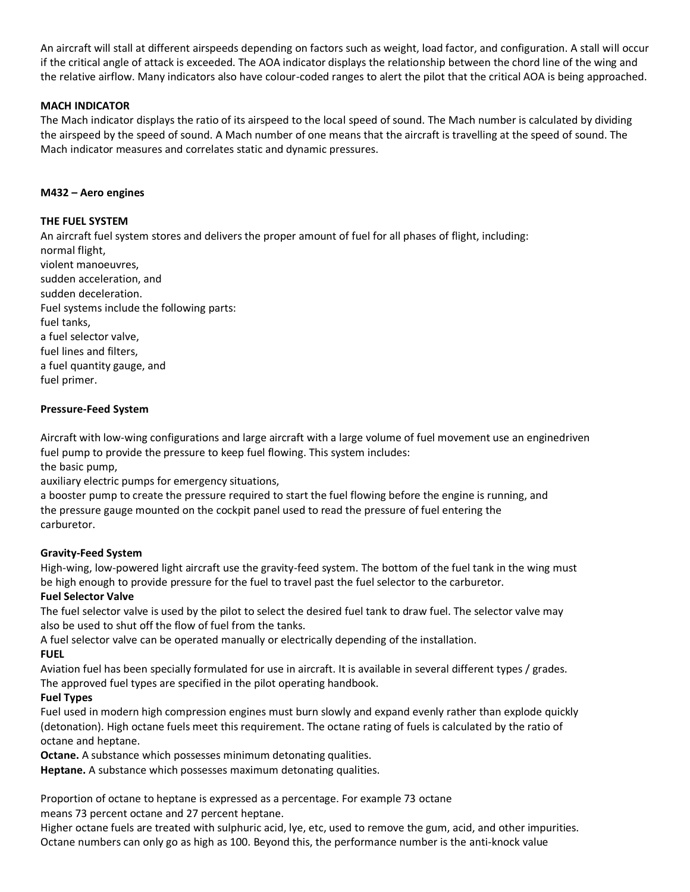An aircraft will stall at different airspeeds depending on factors such as weight, load factor, and configuration. A stall will occur if the critical angle of attack is exceeded. The AOA indicator displays the relationship between the chord line of the wing and the relative airflow. Many indicators also have colour-coded ranges to alert the pilot that the critical AOA is being approached.

# **MACH INDICATOR**

The Mach indicator displays the ratio of its airspeed to the local speed of sound. The Mach number is calculated by dividing the airspeed by the speed of sound. A Mach number of one means that the aircraft is travelling at the speed of sound. The Mach indicator measures and correlates static and dynamic pressures.

# **M432 – Aero engines**

# **THE FUEL SYSTEM**

An aircraft fuel system stores and delivers the proper amount of fuel for all phases of flight, including: normal flight, violent manoeuvres, sudden acceleration, and sudden deceleration. Fuel systems include the following parts: fuel tanks, a fuel selector valve, fuel lines and filters, a fuel quantity gauge, and fuel primer.

# **Pressure-Feed System**

Aircraft with low-wing configurations and large aircraft with a large volume of fuel movement use an enginedriven fuel pump to provide the pressure to keep fuel flowing. This system includes: the basic pump,

auxiliary electric pumps for emergency situations,

a booster pump to create the pressure required to start the fuel flowing before the engine is running, and the pressure gauge mounted on the cockpit panel used to read the pressure of fuel entering the carburetor.

# **Gravity-Feed System**

High-wing, low-powered light aircraft use the gravity-feed system. The bottom of the fuel tank in the wing must be high enough to provide pressure for the fuel to travel past the fuel selector to the carburetor.

# **Fuel Selector Valve**

The fuel selector valve is used by the pilot to select the desired fuel tank to draw fuel. The selector valve may also be used to shut off the flow of fuel from the tanks.

A fuel selector valve can be operated manually or electrically depending of the installation. **FUEL**

Aviation fuel has been specially formulated for use in aircraft. It is available in several different types / grades. The approved fuel types are specified in the pilot operating handbook.

# **Fuel Types**

Fuel used in modern high compression engines must burn slowly and expand evenly rather than explode quickly (detonation). High octane fuels meet this requirement. The octane rating of fuels is calculated by the ratio of octane and heptane.

**Octane.** A substance which possesses minimum detonating qualities.

**Heptane.** A substance which possesses maximum detonating qualities.

Proportion of octane to heptane is expressed as a percentage. For example 73 octane means 73 percent octane and 27 percent heptane.

Higher octane fuels are treated with sulphuric acid, lye, etc, used to remove the gum, acid, and other impurities. Octane numbers can only go as high as 100. Beyond this, the performance number is the anti-knock value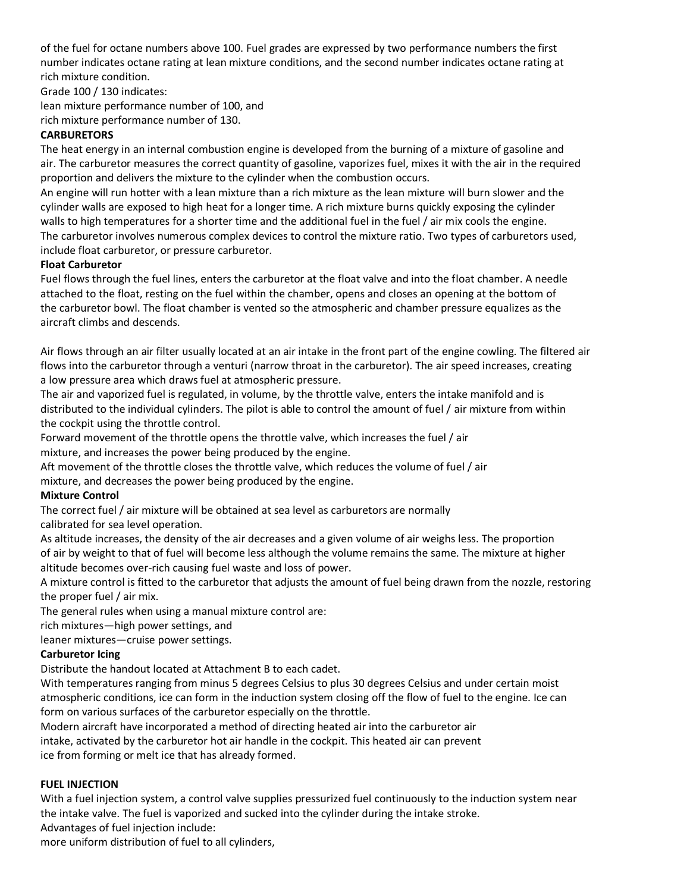of the fuel for octane numbers above 100. Fuel grades are expressed by two performance numbers the first number indicates octane rating at lean mixture conditions, and the second number indicates octane rating at rich mixture condition.

Grade 100 / 130 indicates: lean mixture performance number of 100, and rich mixture performance number of 130.

# **CARBURETORS**

The heat energy in an internal combustion engine is developed from the burning of a mixture of gasoline and air. The carburetor measures the correct quantity of gasoline, vaporizes fuel, mixes it with the air in the required proportion and delivers the mixture to the cylinder when the combustion occurs.

An engine will run hotter with a lean mixture than a rich mixture as the lean mixture will burn slower and the cylinder walls are exposed to high heat for a longer time. A rich mixture burns quickly exposing the cylinder walls to high temperatures for a shorter time and the additional fuel in the fuel / air mix cools the engine. The carburetor involves numerous complex devices to control the mixture ratio. Two types of carburetors used, include float carburetor, or pressure carburetor.

# **Float Carburetor**

Fuel flows through the fuel lines, enters the carburetor at the float valve and into the float chamber. A needle attached to the float, resting on the fuel within the chamber, opens and closes an opening at the bottom of the carburetor bowl. The float chamber is vented so the atmospheric and chamber pressure equalizes as the aircraft climbs and descends.

Air flows through an air filter usually located at an air intake in the front part of the engine cowling. The filtered air flows into the carburetor through a venturi (narrow throat in the carburetor). The air speed increases, creating a low pressure area which draws fuel at atmospheric pressure.

The air and vaporized fuel is regulated, in volume, by the throttle valve, enters the intake manifold and is distributed to the individual cylinders. The pilot is able to control the amount of fuel / air mixture from within the cockpit using the throttle control.

Forward movement of the throttle opens the throttle valve, which increases the fuel / air mixture, and increases the power being produced by the engine.

Aft movement of the throttle closes the throttle valve, which reduces the volume of fuel / air

mixture, and decreases the power being produced by the engine.

# **Mixture Control**

The correct fuel / air mixture will be obtained at sea level as carburetors are normally calibrated for sea level operation.

As altitude increases, the density of the air decreases and a given volume of air weighs less. The proportion of air by weight to that of fuel will become less although the volume remains the same. The mixture at higher altitude becomes over-rich causing fuel waste and loss of power.

A mixture control is fitted to the carburetor that adjusts the amount of fuel being drawn from the nozzle, restoring the proper fuel / air mix.

The general rules when using a manual mixture control are:

rich mixtures—high power settings, and

leaner mixtures—cruise power settings.

# **Carburetor Icing**

Distribute the handout located at Attachment B to each cadet.

With temperatures ranging from minus 5 degrees Celsius to plus 30 degrees Celsius and under certain moist atmospheric conditions, ice can form in the induction system closing off the flow of fuel to the engine. Ice can form on various surfaces of the carburetor especially on the throttle.

Modern aircraft have incorporated a method of directing heated air into the carburetor air intake, activated by the carburetor hot air handle in the cockpit. This heated air can prevent ice from forming or melt ice that has already formed.

# **FUEL INJECTION**

With a fuel injection system, a control valve supplies pressurized fuel continuously to the induction system near the intake valve. The fuel is vaporized and sucked into the cylinder during the intake stroke.

Advantages of fuel injection include:

more uniform distribution of fuel to all cylinders,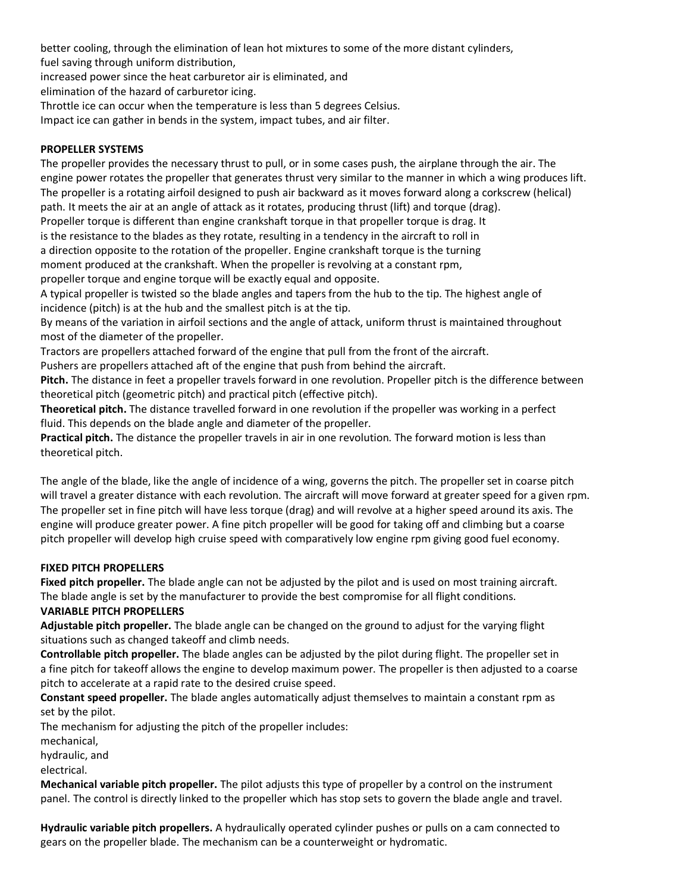better cooling, through the elimination of lean hot mixtures to some of the more distant cylinders, fuel saving through uniform distribution,

increased power since the heat carburetor air is eliminated, and

elimination of the hazard of carburetor icing.

Throttle ice can occur when the temperature is less than 5 degrees Celsius.

Impact ice can gather in bends in the system, impact tubes, and air filter.

# **PROPELLER SYSTEMS**

The propeller provides the necessary thrust to pull, or in some cases push, the airplane through the air. The engine power rotates the propeller that generates thrust very similar to the manner in which a wing produces lift. The propeller is a rotating airfoil designed to push air backward as it moves forward along a corkscrew (helical) path. It meets the air at an angle of attack as it rotates, producing thrust (lift) and torque (drag). Propeller torque is different than engine crankshaft torque in that propeller torque is drag. It is the resistance to the blades as they rotate, resulting in a tendency in the aircraft to roll in a direction opposite to the rotation of the propeller. Engine crankshaft torque is the turning moment produced at the crankshaft. When the propeller is revolving at a constant rpm, propeller torque and engine torque will be exactly equal and opposite. A typical propeller is twisted so the blade angles and tapers from the hub to the tip. The highest angle of incidence (pitch) is at the hub and the smallest pitch is at the tip. By means of the variation in airfoil sections and the angle of attack, uniform thrust is maintained throughout most of the diameter of the propeller. Tractors are propellers attached forward of the engine that pull from the front of the aircraft.

Pushers are propellers attached aft of the engine that push from behind the aircraft.

**Pitch.** The distance in feet a propeller travels forward in one revolution. Propeller pitch is the difference between theoretical pitch (geometric pitch) and practical pitch (effective pitch).

**Theoretical pitch.** The distance travelled forward in one revolution if the propeller was working in a perfect fluid. This depends on the blade angle and diameter of the propeller.

**Practical pitch.** The distance the propeller travels in air in one revolution. The forward motion is less than theoretical pitch.

The angle of the blade, like the angle of incidence of a wing, governs the pitch. The propeller set in coarse pitch will travel a greater distance with each revolution. The aircraft will move forward at greater speed for a given rpm. The propeller set in fine pitch will have less torque (drag) and will revolve at a higher speed around its axis. The engine will produce greater power. A fine pitch propeller will be good for taking off and climbing but a coarse pitch propeller will develop high cruise speed with comparatively low engine rpm giving good fuel economy.

# **FIXED PITCH PROPELLERS**

**Fixed pitch propeller.** The blade angle can not be adjusted by the pilot and is used on most training aircraft. The blade angle is set by the manufacturer to provide the best compromise for all flight conditions.

# **VARIABLE PITCH PROPELLERS**

**Adjustable pitch propeller.** The blade angle can be changed on the ground to adjust for the varying flight situations such as changed takeoff and climb needs.

**Controllable pitch propeller.** The blade angles can be adjusted by the pilot during flight. The propeller set in a fine pitch for takeoff allows the engine to develop maximum power. The propeller is then adjusted to a coarse pitch to accelerate at a rapid rate to the desired cruise speed.

**Constant speed propeller.** The blade angles automatically adjust themselves to maintain a constant rpm as set by the pilot.

The mechanism for adjusting the pitch of the propeller includes:

mechanical,

hydraulic, and

electrical.

**Mechanical variable pitch propeller.** The pilot adjusts this type of propeller by a control on the instrument panel. The control is directly linked to the propeller which has stop sets to govern the blade angle and travel.

**Hydraulic variable pitch propellers.** A hydraulically operated cylinder pushes or pulls on a cam connected to gears on the propeller blade. The mechanism can be a counterweight or hydromatic.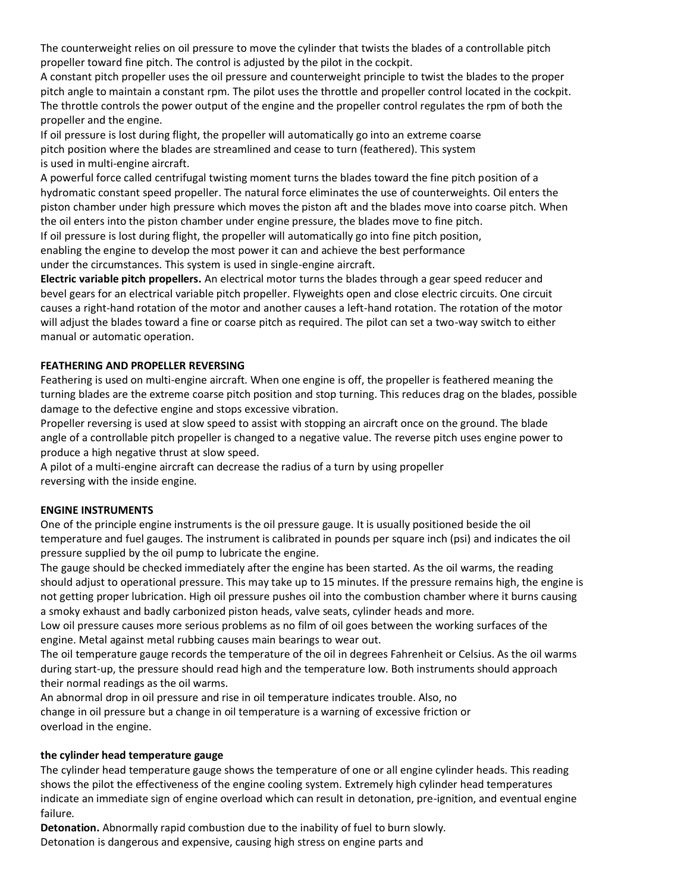The counterweight relies on oil pressure to move the cylinder that twists the blades of a controllable pitch propeller toward fine pitch. The control is adjusted by the pilot in the cockpit.

A constant pitch propeller uses the oil pressure and counterweight principle to twist the blades to the proper pitch angle to maintain a constant rpm. The pilot uses the throttle and propeller control located in the cockpit. The throttle controls the power output of the engine and the propeller control regulates the rpm of both the propeller and the engine.

If oil pressure is lost during flight, the propeller will automatically go into an extreme coarse pitch position where the blades are streamlined and cease to turn (feathered). This system is used in multi-engine aircraft.

A powerful force called centrifugal twisting moment turns the blades toward the fine pitch position of a hydromatic constant speed propeller. The natural force eliminates the use of counterweights. Oil enters the piston chamber under high pressure which moves the piston aft and the blades move into coarse pitch. When the oil enters into the piston chamber under engine pressure, the blades move to fine pitch.

If oil pressure is lost during flight, the propeller will automatically go into fine pitch position, enabling the engine to develop the most power it can and achieve the best performance

under the circumstances. This system is used in single-engine aircraft.

**Electric variable pitch propellers.** An electrical motor turns the blades through a gear speed reducer and bevel gears for an electrical variable pitch propeller. Flyweights open and close electric circuits. One circuit causes a right-hand rotation of the motor and another causes a left-hand rotation. The rotation of the motor will adjust the blades toward a fine or coarse pitch as required. The pilot can set a two-way switch to either manual or automatic operation.

# **FEATHERING AND PROPELLER REVERSING**

Feathering is used on multi-engine aircraft. When one engine is off, the propeller is feathered meaning the turning blades are the extreme coarse pitch position and stop turning. This reduces drag on the blades, possible damage to the defective engine and stops excessive vibration.

Propeller reversing is used at slow speed to assist with stopping an aircraft once on the ground. The blade angle of a controllable pitch propeller is changed to a negative value. The reverse pitch uses engine power to produce a high negative thrust at slow speed.

A pilot of a multi-engine aircraft can decrease the radius of a turn by using propeller reversing with the inside engine.

## **ENGINE INSTRUMENTS**

One of the principle engine instruments is the oil pressure gauge. It is usually positioned beside the oil temperature and fuel gauges. The instrument is calibrated in pounds per square inch (psi) and indicates the oil pressure supplied by the oil pump to lubricate the engine.

The gauge should be checked immediately after the engine has been started. As the oil warms, the reading should adjust to operational pressure. This may take up to 15 minutes. If the pressure remains high, the engine is not getting proper lubrication. High oil pressure pushes oil into the combustion chamber where it burns causing a smoky exhaust and badly carbonized piston heads, valve seats, cylinder heads and more.

Low oil pressure causes more serious problems as no film of oil goes between the working surfaces of the engine. Metal against metal rubbing causes main bearings to wear out.

The oil temperature gauge records the temperature of the oil in degrees Fahrenheit or Celsius. As the oil warms during start-up, the pressure should read high and the temperature low. Both instruments should approach their normal readings as the oil warms.

An abnormal drop in oil pressure and rise in oil temperature indicates trouble. Also, no change in oil pressure but a change in oil temperature is a warning of excessive friction or overload in the engine.

## **the cylinder head temperature gauge**

The cylinder head temperature gauge shows the temperature of one or all engine cylinder heads. This reading shows the pilot the effectiveness of the engine cooling system. Extremely high cylinder head temperatures indicate an immediate sign of engine overload which can result in detonation, pre-ignition, and eventual engine failure.

**Detonation.** Abnormally rapid combustion due to the inability of fuel to burn slowly. Detonation is dangerous and expensive, causing high stress on engine parts and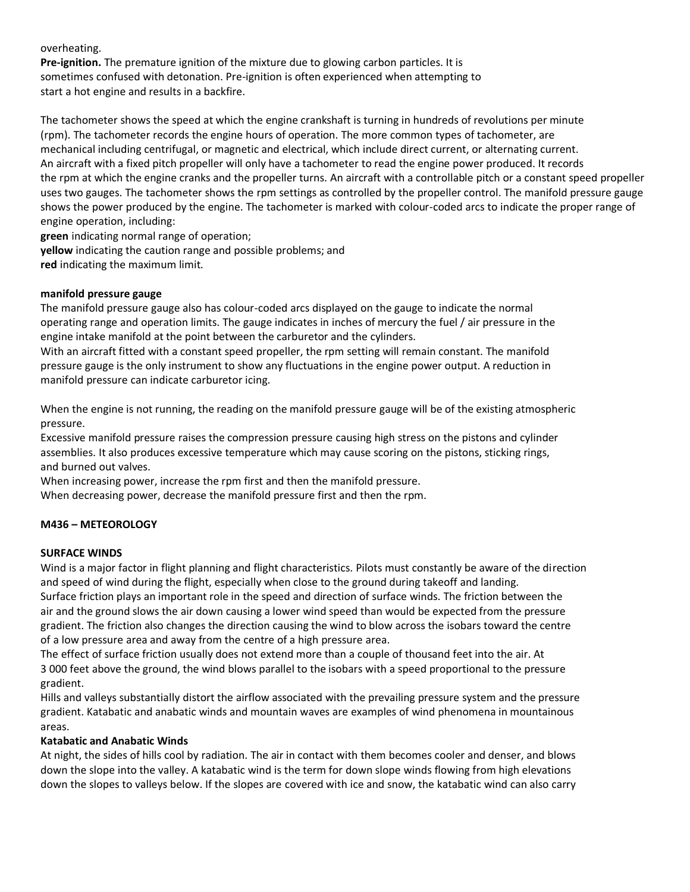## overheating.

**Pre-ignition.** The premature ignition of the mixture due to glowing carbon particles. It is sometimes confused with detonation. Pre-ignition is often experienced when attempting to start a hot engine and results in a backfire.

The tachometer shows the speed at which the engine crankshaft is turning in hundreds of revolutions per minute (rpm). The tachometer records the engine hours of operation. The more common types of tachometer, are mechanical including centrifugal, or magnetic and electrical, which include direct current, or alternating current. An aircraft with a fixed pitch propeller will only have a tachometer to read the engine power produced. It records the rpm at which the engine cranks and the propeller turns. An aircraft with a controllable pitch or a constant speed propeller uses two gauges. The tachometer shows the rpm settings as controlled by the propeller control. The manifold pressure gauge shows the power produced by the engine. The tachometer is marked with colour-coded arcs to indicate the proper range of engine operation, including:

**green** indicating normal range of operation;

**yellow** indicating the caution range and possible problems; and

**red** indicating the maximum limit.

## **manifold pressure gauge**

The manifold pressure gauge also has colour-coded arcs displayed on the gauge to indicate the normal operating range and operation limits. The gauge indicates in inches of mercury the fuel / air pressure in the engine intake manifold at the point between the carburetor and the cylinders.

With an aircraft fitted with a constant speed propeller, the rpm setting will remain constant. The manifold pressure gauge is the only instrument to show any fluctuations in the engine power output. A reduction in manifold pressure can indicate carburetor icing.

When the engine is not running, the reading on the manifold pressure gauge will be of the existing atmospheric pressure.

Excessive manifold pressure raises the compression pressure causing high stress on the pistons and cylinder assemblies. It also produces excessive temperature which may cause scoring on the pistons, sticking rings, and burned out valves.

When increasing power, increase the rpm first and then the manifold pressure.

When decreasing power, decrease the manifold pressure first and then the rpm.

## **M436 – METEOROLOGY**

## **SURFACE WINDS**

Wind is a major factor in flight planning and flight characteristics. Pilots must constantly be aware of the direction and speed of wind during the flight, especially when close to the ground during takeoff and landing. Surface friction plays an important role in the speed and direction of surface winds. The friction between the air and the ground slows the air down causing a lower wind speed than would be expected from the pressure gradient. The friction also changes the direction causing the wind to blow across the isobars toward the centre of a low pressure area and away from the centre of a high pressure area.

The effect of surface friction usually does not extend more than a couple of thousand feet into the air. At 3 000 feet above the ground, the wind blows parallel to the isobars with a speed proportional to the pressure gradient.

Hills and valleys substantially distort the airflow associated with the prevailing pressure system and the pressure gradient. Katabatic and anabatic winds and mountain waves are examples of wind phenomena in mountainous areas.

## **Katabatic and Anabatic Winds**

At night, the sides of hills cool by radiation. The air in contact with them becomes cooler and denser, and blows down the slope into the valley. A katabatic wind is the term for down slope winds flowing from high elevations down the slopes to valleys below. If the slopes are covered with ice and snow, the katabatic wind can also carry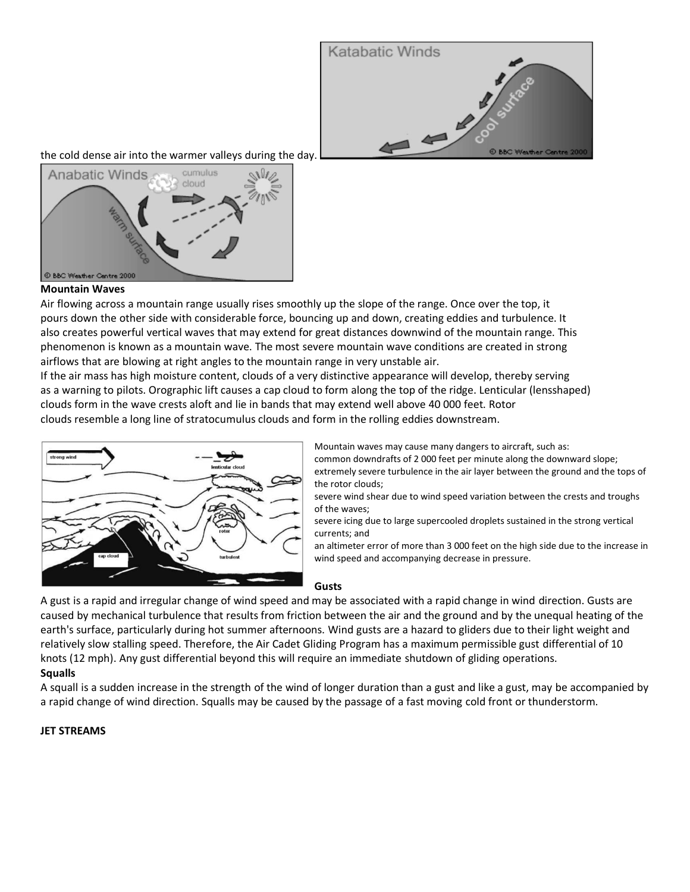

the cold dense air into the warmer valleys during the day.



## **Mountain Waves**

Air flowing across a mountain range usually rises smoothly up the slope of the range. Once over the top, it pours down the other side with considerable force, bouncing up and down, creating eddies and turbulence. It also creates powerful vertical waves that may extend for great distances downwind of the mountain range. This phenomenon is known as a mountain wave. The most severe mountain wave conditions are created in strong airflows that are blowing at right angles to the mountain range in very unstable air.

If the air mass has high moisture content, clouds of a very distinctive appearance will develop, thereby serving as a warning to pilots. Orographic lift causes a cap cloud to form along the top of the ridge. Lenticular (lensshaped) clouds form in the wave crests aloft and lie in bands that may extend well above 40 000 feet. Rotor clouds resemble a long line of stratocumulus clouds and form in the rolling eddies downstream.



Mountain waves may cause many dangers to aircraft, such as: common downdrafts of 2 000 feet per minute along the downward slope; extremely severe turbulence in the air layer between the ground and the tops of the rotor clouds;

severe wind shear due to wind speed variation between the crests and troughs of the waves;

severe icing due to large supercooled droplets sustained in the strong vertical currents; and

an altimeter error of more than 3 000 feet on the high side due to the increase in wind speed and accompanying decrease in pressure.

## **Gusts**

A gust is a rapid and irregular change of wind speed and may be associated with a rapid change in wind direction. Gusts are caused by mechanical turbulence that results from friction between the air and the ground and by the unequal heating of the earth's surface, particularly during hot summer afternoons. Wind gusts are a hazard to gliders due to their light weight and relatively slow stalling speed. Therefore, the Air Cadet Gliding Program has a maximum permissible gust differential of 10 knots (12 mph). Any gust differential beyond this will require an immediate shutdown of gliding operations.

## **Squalls**

A squall is a sudden increase in the strength of the wind of longer duration than a gust and like a gust, may be accompanied by a rapid change of wind direction. Squalls may be caused by the passage of a fast moving cold front or thunderstorm.

## **JET STREAMS**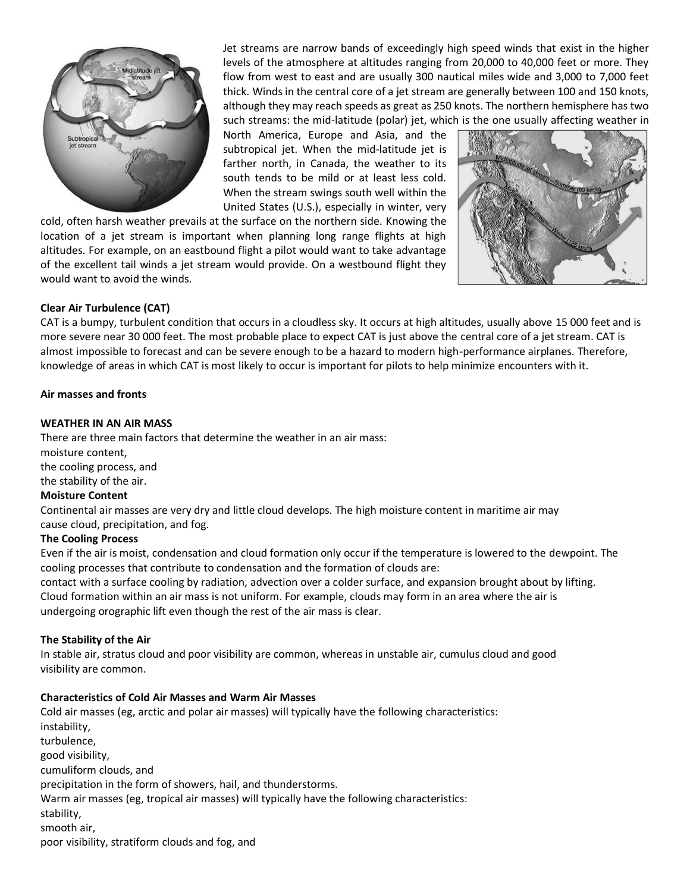

Jet streams are narrow bands of exceedingly high speed winds that exist in the higher levels of the atmosphere at altitudes ranging from 20,000 to 40,000 feet or more. They flow from west to east and are usually 300 nautical miles wide and 3,000 to 7,000 feet thick. Winds in the central core of a jet stream are generally between 100 and 150 knots, although they may reach speeds as great as 250 knots. The northern hemisphere has two such streams: the mid-latitude (polar) jet, which is the one usually affecting weather in

North America, Europe and Asia, and the subtropical jet. When the mid-latitude jet is farther north, in Canada, the weather to its south tends to be mild or at least less cold. When the stream swings south well within the United States (U.S.), especially in winter, very

cold, often harsh weather prevails at the surface on the northern side. Knowing the location of a jet stream is important when planning long range flights at high altitudes. For example, on an eastbound flight a pilot would want to take advantage of the excellent tail winds a jet stream would provide. On a westbound flight they would want to avoid the winds.



# **Clear Air Turbulence (CAT)**

CAT is a bumpy, turbulent condition that occurs in a cloudless sky. It occurs at high altitudes, usually above 15 000 feet and is more severe near 30 000 feet. The most probable place to expect CAT is just above the central core of a jet stream. CAT is almost impossible to forecast and can be severe enough to be a hazard to modern high-performance airplanes. Therefore, knowledge of areas in which CAT is most likely to occur is important for pilots to help minimize encounters with it.

## **Air masses and fronts**

## **WEATHER IN AN AIR MASS**

There are three main factors that determine the weather in an air mass: moisture content, the cooling process, and the stability of the air. **Moisture Content**

Continental air masses are very dry and little cloud develops. The high moisture content in maritime air may cause cloud, precipitation, and fog.

## **The Cooling Process**

Even if the air is moist, condensation and cloud formation only occur if the temperature is lowered to the dewpoint. The cooling processes that contribute to condensation and the formation of clouds are:

contact with a surface cooling by radiation, advection over a colder surface, and expansion brought about by lifting. Cloud formation within an air mass is not uniform. For example, clouds may form in an area where the air is undergoing orographic lift even though the rest of the air mass is clear.

## **The Stability of the Air**

In stable air, stratus cloud and poor visibility are common, whereas in unstable air, cumulus cloud and good visibility are common.

## **Characteristics of Cold Air Masses and Warm Air Masses**

Cold air masses (eg, arctic and polar air masses) will typically have the following characteristics: instability, turbulence, good visibility, cumuliform clouds, and precipitation in the form of showers, hail, and thunderstorms. Warm air masses (eg, tropical air masses) will typically have the following characteristics: stability, smooth air, poor visibility, stratiform clouds and fog, and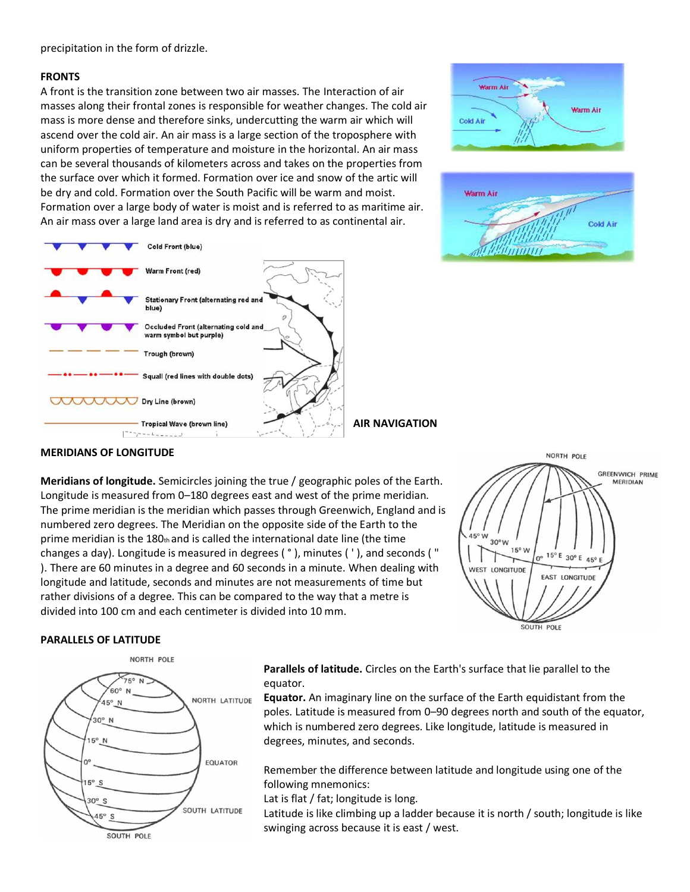precipitation in the form of drizzle.

## **FRONTS**

A front is the transition zone between two air masses. The Interaction of air masses along their frontal zones is responsible for weather changes. The cold air mass is more dense and therefore sinks, undercutting the warm air which will ascend over the cold air. An air mass is a large section of the troposphere with uniform properties of temperature and moisture in the horizontal. An air mass can be several thousands of kilometers across and takes on the properties from the surface over which it formed. Formation over ice and snow of the artic will be dry and cold. Formation over the South Pacific will be warm and moist. Formation over a large body of water is moist and is referred to as maritime air. An air mass over a large land area is dry and is referred to as continental air.







**AIR NAVIGATION**

## **MERIDIANS OF LONGITUDE**

**Meridians of longitude.** Semicircles joining the true / geographic poles of the Earth. Longitude is measured from 0–180 degrees east and west of the prime meridian. The prime meridian is the meridian which passes through Greenwich, England and is numbered zero degrees. The Meridian on the opposite side of the Earth to the prime meridian is the 180th and is called the international date line (the time changes a day). Longitude is measured in degrees ( ° ), minutes ( ' ), and seconds ( " ). There are 60 minutes in a degree and 60 seconds in a minute. When dealing with longitude and latitude, seconds and minutes are not measurements of time but rather divisions of a degree. This can be compared to the way that a metre is divided into 100 cm and each centimeter is divided into 10 mm.



## **PARALLELS OF LATITUDE**



**Parallels of latitude.** Circles on the Earth's surface that lie parallel to the equator.

**Equator.** An imaginary line on the surface of the Earth equidistant from the poles. Latitude is measured from 0–90 degrees north and south of the equator, which is numbered zero degrees. Like longitude, latitude is measured in degrees, minutes, and seconds.

Remember the difference between latitude and longitude using one of the following mnemonics:

Lat is flat / fat; longitude is long.

Latitude is like climbing up a ladder because it is north / south; longitude is like swinging across because it is east / west.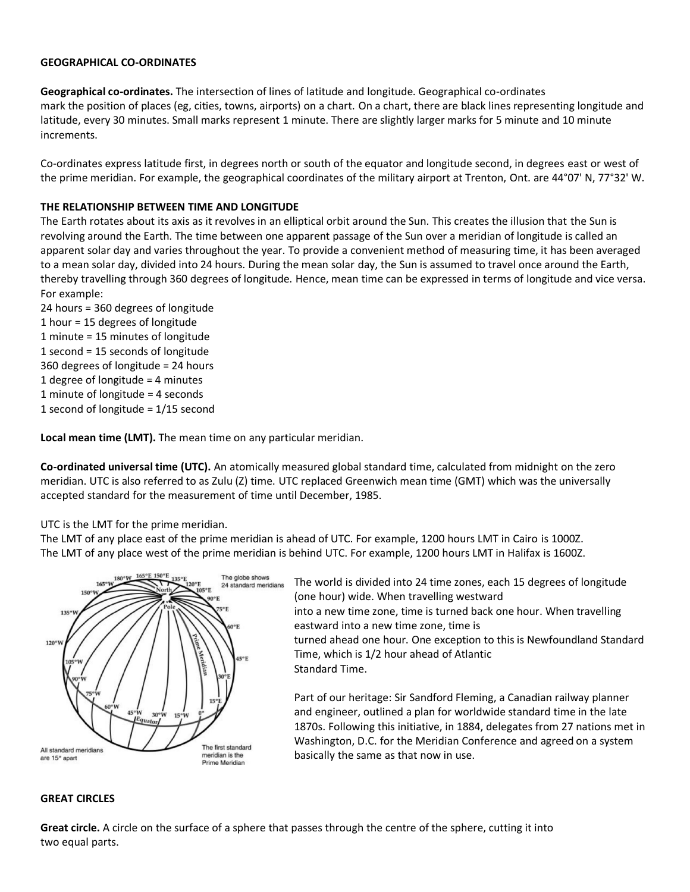## **GEOGRAPHICAL CO-ORDINATES**

**Geographical co-ordinates.** The intersection of lines of latitude and longitude. Geographical co-ordinates mark the position of places (eg, cities, towns, airports) on a chart. On a chart, there are black lines representing longitude and latitude, every 30 minutes. Small marks represent 1 minute. There are slightly larger marks for 5 minute and 10 minute increments.

Co-ordinates express latitude first, in degrees north or south of the equator and longitude second, in degrees east or west of the prime meridian. For example, the geographical coordinates of the military airport at Trenton, Ont. are 44°07' N, 77°32' W.

## **THE RELATIONSHIP BETWEEN TIME AND LONGITUDE**

The Earth rotates about its axis as it revolves in an elliptical orbit around the Sun. This creates the illusion that the Sun is revolving around the Earth. The time between one apparent passage of the Sun over a meridian of longitude is called an apparent solar day and varies throughout the year. To provide a convenient method of measuring time, it has been averaged to a mean solar day, divided into 24 hours. During the mean solar day, the Sun is assumed to travel once around the Earth, thereby travelling through 360 degrees of longitude. Hence, mean time can be expressed in terms of longitude and vice versa. For example:

24 hours = 360 degrees of longitude 1 hour = 15 degrees of longitude 1 minute = 15 minutes of longitude 1 second = 15 seconds of longitude 360 degrees of longitude = 24 hours 1 degree of longitude = 4 minutes 1 minute of longitude = 4 seconds 1 second of longitude = 1/15 second

**Local mean time (LMT).** The mean time on any particular meridian.

**Co-ordinated universal time (UTC).** An atomically measured global standard time, calculated from midnight on the zero meridian. UTC is also referred to as Zulu (Z) time. UTC replaced Greenwich mean time (GMT) which was the universally accepted standard for the measurement of time until December, 1985.

UTC is the LMT for the prime meridian.

The LMT of any place east of the prime meridian is ahead of UTC. For example, 1200 hours LMT in Cairo is 1000Z. The LMT of any place west of the prime meridian is behind UTC. For example, 1200 hours LMT in Halifax is 1600Z.



The world is divided into 24 time zones, each 15 degrees of longitude (one hour) wide. When travelling westward into a new time zone, time is turned back one hour. When travelling eastward into a new time zone, time is turned ahead one hour. One exception to this is Newfoundland Standard Time, which is 1/2 hour ahead of Atlantic Standard Time.

Part of our heritage: Sir Sandford Fleming, a Canadian railway planner and engineer, outlined a plan for worldwide standard time in the late 1870s. Following this initiative, in 1884, delegates from 27 nations met in Washington, D.C. for the Meridian Conference and agreed on a system basically the same as that now in use.

## **GREAT CIRCLES**

**Great circle.** A circle on the surface of a sphere that passes through the centre of the sphere, cutting it into two equal parts.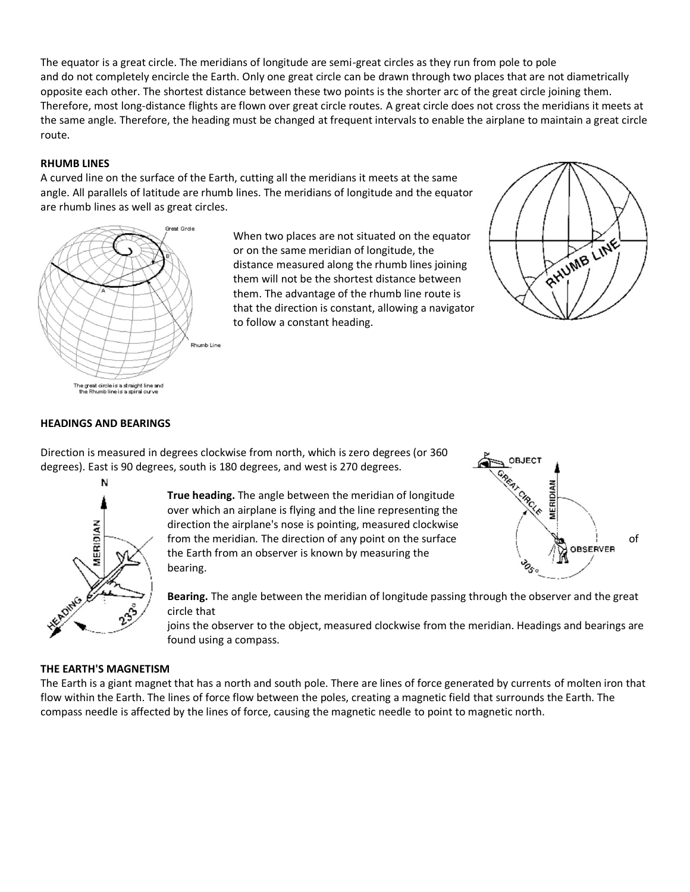The equator is a great circle. The meridians of longitude are semi-great circles as they run from pole to pole and do not completely encircle the Earth. Only one great circle can be drawn through two places that are not diametrically opposite each other. The shortest distance between these two points is the shorter arc of the great circle joining them. Therefore, most long-distance flights are flown over great circle routes. A great circle does not cross the meridians it meets at the same angle. Therefore, the heading must be changed at frequent intervals to enable the airplane to maintain a great circle route.

# **RHUMB LINES**

A curved line on the surface of the Earth, cutting all the meridians it meets at the same angle. All parallels of latitude are rhumb lines. The meridians of longitude and the equator are rhumb lines as well as great circles.



When two places are not situated on the equator or on the same meridian of longitude, the distance measured along the rhumb lines joining them will not be the shortest distance between them. The advantage of the rhumb line route is that the direction is constant, allowing a navigator to follow a constant heading.



# **HEADINGS AND BEARINGS**

Direction is measured in degrees clockwise from north, which is zero degrees (or 360 degrees). East is 90 degrees, south is 180 degrees, and west is 270 degrees.





**True heading.** The angle between the meridian of longitude over which an airplane is flying and the line representing the direction the airplane's nose is pointing, measured clockwise from the meridian. The direction of any point on the surface  $\overline{a}$  of  $\overline{a}$  on  $\overline{b}$  on  $\overline{c}$ the Earth from an observer is known by measuring the bearing.

**Bearing.** The angle between the meridian of longitude passing through the observer and the great circle that

joins the observer to the object, measured clockwise from the meridian. Headings and bearings are found using a compass.

# **THE EARTH'S MAGNETISM**

The Earth is a giant magnet that has a north and south pole. There are lines of force generated by currents of molten iron that flow within the Earth. The lines of force flow between the poles, creating a magnetic field that surrounds the Earth. The compass needle is affected by the lines of force, causing the magnetic needle to point to magnetic north.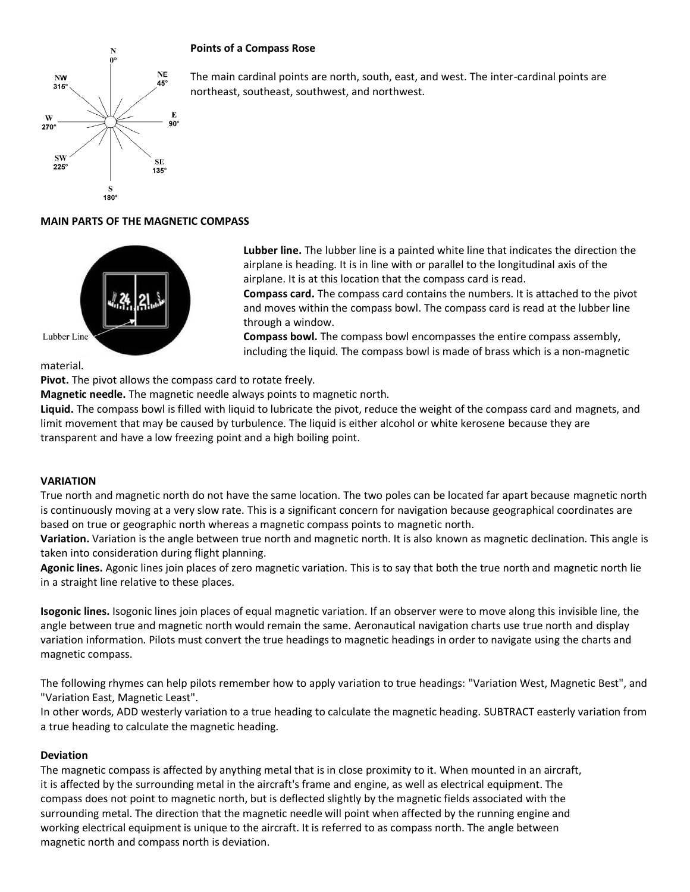# **Points of a Compass Rose**



The main cardinal points are north, south, east, and west. The inter-cardinal points are northeast, southeast, southwest, and northwest.

# **MAIN PARTS OF THE MAGNETIC COMPASS**



**Lubber line.** The lubber line is a painted white line that indicates the direction the airplane is heading. It is in line with or parallel to the longitudinal axis of the airplane. It is at this location that the compass card is read.

**Compass card.** The compass card contains the numbers. It is attached to the pivot and moves within the compass bowl. The compass card is read at the lubber line through a window.

**Compass bowl.** The compass bowl encompasses the entire compass assembly, including the liquid. The compass bowl is made of brass which is a non-magnetic

## material.

**Pivot.** The pivot allows the compass card to rotate freely.

**Magnetic needle.** The magnetic needle always points to magnetic north.

**Liquid.** The compass bowl is filled with liquid to lubricate the pivot, reduce the weight of the compass card and magnets, and limit movement that may be caused by turbulence. The liquid is either alcohol or white kerosene because they are transparent and have a low freezing point and a high boiling point.

## **VARIATION**

True north and magnetic north do not have the same location. The two poles can be located far apart because magnetic north is continuously moving at a very slow rate. This is a significant concern for navigation because geographical coordinates are based on true or geographic north whereas a magnetic compass points to magnetic north.

**Variation.** Variation is the angle between true north and magnetic north. It is also known as magnetic declination. This angle is taken into consideration during flight planning.

**Agonic lines.** Agonic lines join places of zero magnetic variation. This is to say that both the true north and magnetic north lie in a straight line relative to these places.

**Isogonic lines.** Isogonic lines join places of equal magnetic variation. If an observer were to move along this invisible line, the angle between true and magnetic north would remain the same. Aeronautical navigation charts use true north and display variation information. Pilots must convert the true headings to magnetic headings in order to navigate using the charts and magnetic compass.

The following rhymes can help pilots remember how to apply variation to true headings: "Variation West, Magnetic Best", and "Variation East, Magnetic Least".

In other words, ADD westerly variation to a true heading to calculate the magnetic heading. SUBTRACT easterly variation from a true heading to calculate the magnetic heading.

## **Deviation**

The magnetic compass is affected by anything metal that is in close proximity to it. When mounted in an aircraft, it is affected by the surrounding metal in the aircraft's frame and engine, as well as electrical equipment. The compass does not point to magnetic north, but is deflected slightly by the magnetic fields associated with the surrounding metal. The direction that the magnetic needle will point when affected by the running engine and working electrical equipment is unique to the aircraft. It is referred to as compass north. The angle between magnetic north and compass north is deviation.